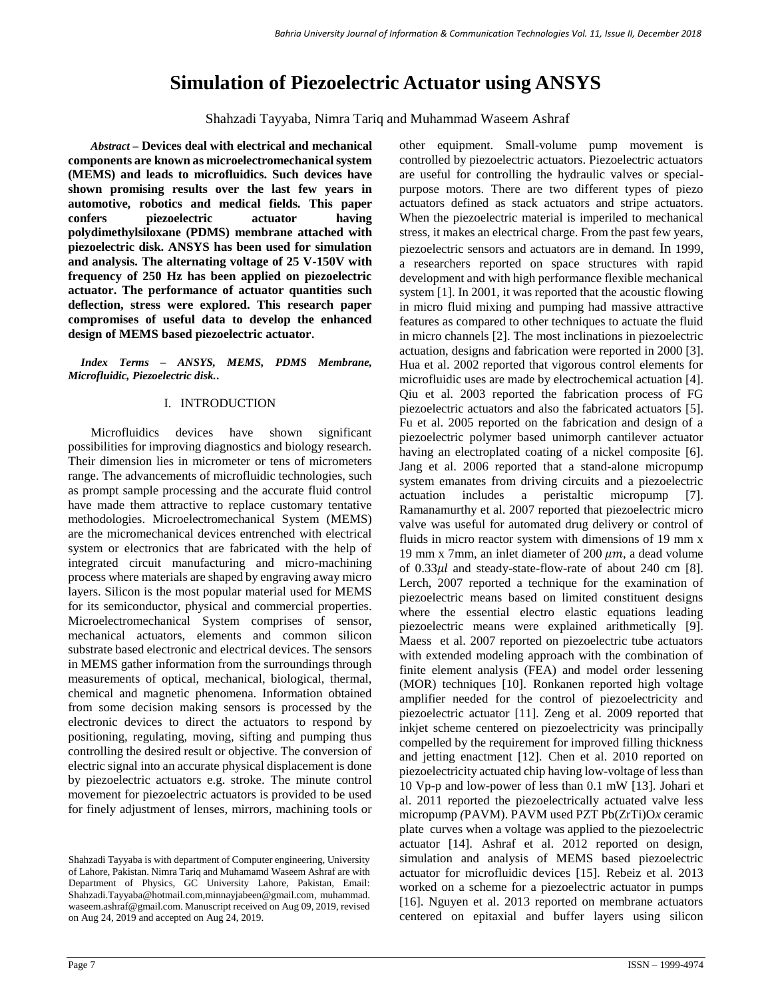# **Simulation of Piezoelectric Actuator using ANSYS**

Shahzadi Tayyaba, Nimra Tariq and Muhammad Waseem Ashraf

*Abstract –* **Devices deal with electrical and mechanical components are known as microelectromechanical system (MEMS) and leads to microfluidics. Such devices have shown promising results over the last few years in automotive, robotics and medical fields. This paper confers piezoelectric actuator having polydimethylsiloxane (PDMS) membrane attached with piezoelectric disk. ANSYS has been used for simulation and analysis. The alternating voltage of 25 V-150V with frequency of 250 Hz has been applied on piezoelectric actuator. The performance of actuator quantities such deflection, stress were explored. This research paper compromises of useful data to develop the enhanced design of MEMS based piezoelectric actuator.**

*Index Terms – ANSYS, MEMS, PDMS Membrane, Microfluidic, Piezoelectric disk.***.**

## I. INTRODUCTION

Microfluidics devices have shown significant possibilities for improving diagnostics and biology research. Their dimension lies in micrometer or tens of micrometers range. The advancements of microfluidic technologies, such as prompt sample processing and the accurate fluid control have made them attractive to replace customary tentative methodologies. Microelectromechanical System (MEMS) are the micromechanical devices entrenched with electrical system or electronics that are fabricated with the help of integrated circuit manufacturing and micro-machining process where materials are shaped by engraving away micro layers. Silicon is the most popular material used for MEMS for its semiconductor, physical and commercial properties. Microelectromechanical System comprises of sensor, mechanical actuators, elements and common silicon substrate based electronic and electrical devices. The sensors in MEMS gather information from the surroundings through measurements of optical, mechanical, biological, thermal, chemical and magnetic phenomena. Information obtained from some decision making sensors is processed by the electronic devices to direct the actuators to respond by positioning, regulating, moving, sifting and pumping thus controlling the desired result or objective. The conversion of electric signal into an accurate physical displacement is done by piezoelectric actuators e.g. stroke. The minute control movement for piezoelectric actuators is provided to be used for finely adjustment of lenses, mirrors, machining tools or

other equipment. Small-volume pump movement is controlled by piezoelectric actuators. Piezoelectric actuators are useful for controlling the hydraulic valves or specialpurpose motors. There are two different types of piezo actuators defined as stack actuators and stripe actuators. When the piezoelectric material is imperiled to mechanical stress, it makes an electrical charge. From the past few years, piezoelectric sensors and actuators are in demand. In 1999, a researchers reported on space structures with rapid development and with high performance flexible mechanical system [\[1\]](#page-2-0). In 2001, it was reported that the acoustic flowing in micro fluid mixing and pumping had massive attractive features as compared to other techniques to actuate the fluid in micro channels [\[2\]](#page-2-1). The most inclinations in piezoelectric actuation, designs and fabrication were reported in 2000 [\[3\]](#page-2-2). Hua et al. 2002 reported that vigorous control elements for microfluidic uses are made by electrochemical actuation [\[4\]](#page-2-3). Qiu et al. 2003 reported the fabrication process of FG piezoelectric actuators and also the fabricated actuators [\[5\]](#page-2-4). Fu et al. 2005 reported on the fabrication and design of a piezoelectric polymer based unimorph cantilever actuator having an electroplated coating of a nickel composite [\[6\]](#page-2-5). Jang et al. 2006 reported that a stand-alone micropump system emanates from driving circuits and a piezoelectric actuation includes a peristaltic micropump [\[7\]](#page-3-0). Ramanamurthy et al. 2007 reported that piezoelectric micro valve was useful for automated drug delivery or control of fluids in micro reactor system with dimensions of 19 mm x 19 mm x 7mm, an inlet diameter of 200  $\mu$ m, a dead volume of  $0.33 \mu l$  and steady-state-flow-rate of about 240 cm [\[8\]](#page-3-1). Lerch, 2007 reported a technique for the examination of piezoelectric means based on limited constituent designs where the essential electro elastic equations leading piezoelectric means were explained arithmetically [\[9\]](#page-3-2). Maess et al. 2007 reported on piezoelectric tube actuators with extended modeling approach with the combination of finite element analysis (FEA) and model order lessening (MOR) techniques [\[10\]](#page-3-3). Ronkanen reported high voltage amplifier needed for the control of piezoelectricity and piezoelectric actuator [\[11\]](#page-3-4). Zeng et al. 2009 reported that inkjet scheme centered on piezoelectricity was principally compelled by the requirement for improved filling thickness and jetting enactment [\[12\]](#page-3-5). Chen et al. 2010 reported on piezoelectricity actuated chip having low-voltage of less than 10 Vp-p and low-power of less than 0.1 mW [\[13\]](#page-3-6). Johari et al. 2011 reported the piezoelectrically actuated valve less micropump *(*PAVM). PAVM used PZT Pb(ZrTi)O*x* ceramic plate curves when a voltage was applied to the piezoelectric actuator [\[14\]](#page-3-7). Ashraf et al. 2012 reported on design, simulation and analysis of MEMS based piezoelectric actuator for microfluidic devices [\[15\]](#page-3-8). Rebeiz et al. 2013 worked on a scheme for a piezoelectric actuator in pumps [\[16\]](#page-3-9). Nguyen et al. 2013 reported on membrane actuators centered on epitaxial and buffer layers using silicon

Shahzadi Tayyaba is with department of Computer engineering, University of Lahore, Pakistan. Nimra Tariq and Muhamamd Waseem Ashraf are with Department of Physics, GC University Lahore, Pakistan, Email: Shahzadi.Tayyaba@hotmail.com,minnayjabeen@gmail.com, muhammad. waseem.ashraf@gmail.com. Manuscript received on Aug 09, 2019, revised on Aug 24, 2019 and accepted on Aug 24, 2019.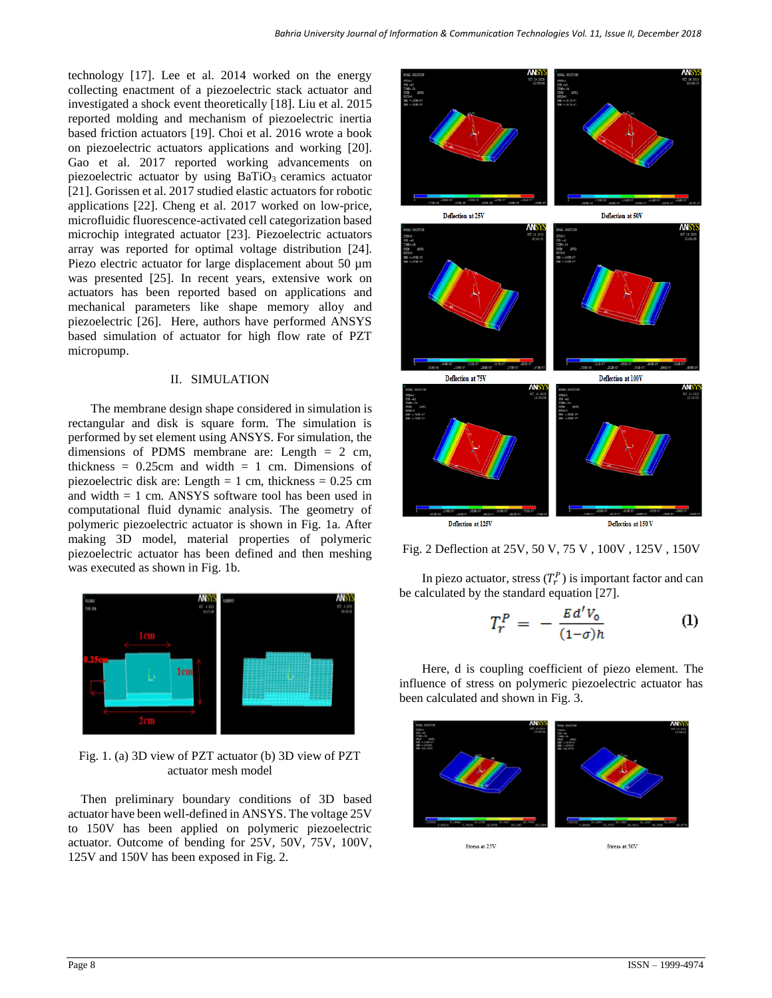technology [\[17\]](#page-3-10). Lee et al. 2014 worked on the energy collecting enactment of a piezoelectric stack actuator and investigated a shock event theoretically [\[18\]](#page-3-11). Liu et al. 2015 reported molding and mechanism of piezoelectric inertia based friction actuators [\[19\]](#page-3-12). Choi et al. 2016 wrote a book on piezoelectric actuators applications and working [\[20\]](#page-3-13). Gao et al. 2017 reported working advancements on piezoelectric actuator by using  $BaTiO<sub>3</sub>$  ceramics actuator [\[21\]](#page-3-14). Gorissen et al. 2017 studied elastic actuators for robotic applications [\[22\]](#page-3-15). Cheng et al. 2017 worked on low-price, microfluidic fluorescence-activated cell categorization based microchip integrated actuator [\[23\]](#page-3-16). Piezoelectric actuators array was reported for optimal voltage distribution [\[24\]](#page-3-17). Piezo electric actuator for large displacement about 50  $\mu$ m was presented [\[25\]](#page-3-18). In recent years, extensive work on actuators has been reported based on applications and mechanical parameters like shape memory alloy and piezoelectric [\[26\]](#page-3-19). Here, authors have performed ANSYS based simulation of actuator for high flow rate of PZT micropump.

### II. SIMULATION

The membrane design shape considered in simulation is rectangular and disk is square form. The simulation is performed by set element using ANSYS. For simulation, the dimensions of PDMS membrane are: Length  $= 2$  cm, thickness =  $0.25$ cm and width = 1 cm. Dimensions of piezoelectric disk are: Length = 1 cm, thickness =  $0.25$  cm and width  $= 1$  cm. ANSYS software tool has been used in computational fluid dynamic analysis. The geometry of polymeric piezoelectric actuator is shown in Fig. 1a. After making 3D model, material properties of polymeric piezoelectric actuator has been defined and then meshing was executed as shown in Fig. 1b.



Fig. 1. (a) 3D view of PZT actuator (b) 3D view of PZT actuator mesh model

Then preliminary boundary conditions of 3D based actuator have been well-defined in ANSYS. The voltage 25V to 150V has been applied on polymeric piezoelectric actuator. Outcome of bending for 25V, 50V, 75V, 100V, 125V and 150V has been exposed in Fig. 2.



Fig. 2 Deflection at 25V, 50 V, 75 V , 100V , 125V , 150V

In piezo actuator, stress  $(T_r^P)$  is important factor and can be calculated by the standard equation [27].

$$
T_r^P = -\frac{E d' V_0}{(1-\sigma)h} \tag{1}
$$

Here, d is coupling coefficient of piezo element. The influence of stress on polymeric piezoelectric actuator has been calculated and shown in Fig. 3.

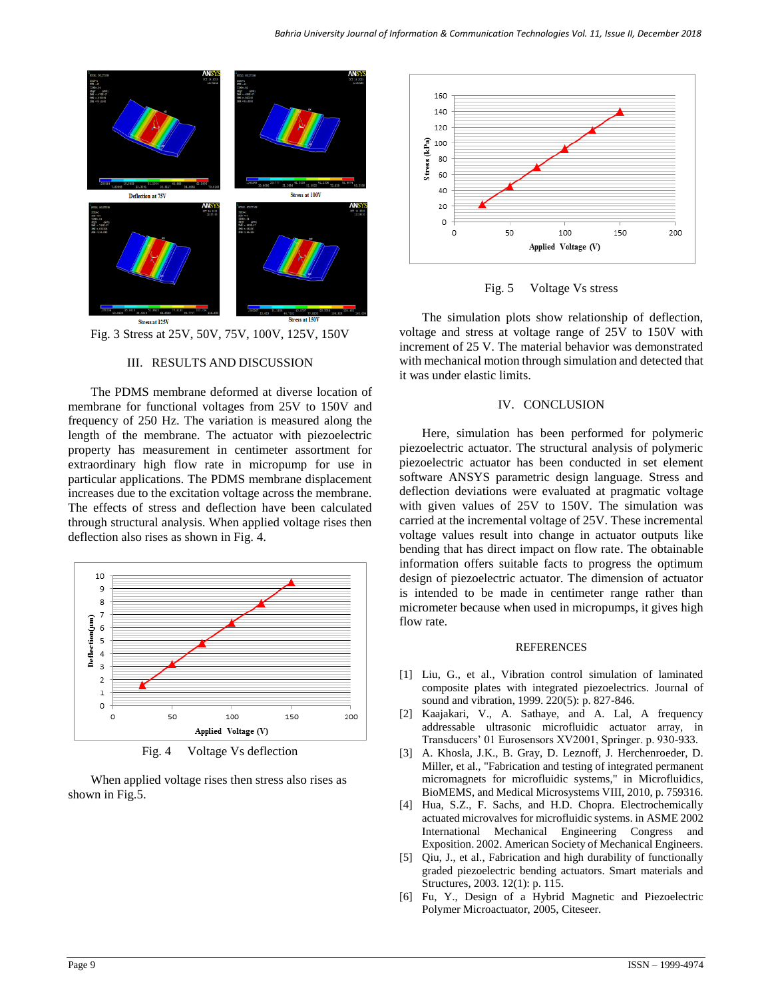



### III. RESULTS AND DISCUSSION

The PDMS membrane deformed at diverse location of membrane for functional voltages from 25V to 150V and frequency of 250 Hz. The variation is measured along the length of the membrane. The actuator with piezoelectric property has measurement in centimeter assortment for extraordinary high flow rate in micropump for use in particular applications. The PDMS membrane displacement increases due to the excitation voltage across the membrane. The effects of stress and deflection have been calculated through structural analysis. When applied voltage rises then deflection also rises as shown in Fig. 4.



Fig. 4 Voltage Vs deflection

When applied voltage rises then stress also rises as shown in Fig.5.



Fig. 5 Voltage Vs stress

The simulation plots show relationship of deflection, voltage and stress at voltage range of 25V to 150V with increment of 25 V. The material behavior was demonstrated with mechanical motion through simulation and detected that it was under elastic limits.

#### IV. CONCLUSION

Here, simulation has been performed for polymeric piezoelectric actuator. The structural analysis of polymeric piezoelectric actuator has been conducted in set element software ANSYS parametric design language. Stress and deflection deviations were evaluated at pragmatic voltage with given values of 25V to 150V. The simulation was carried at the incremental voltage of 25V. These incremental voltage values result into change in actuator outputs like bending that has direct impact on flow rate. The obtainable information offers suitable facts to progress the optimum design of piezoelectric actuator. The dimension of actuator is intended to be made in centimeter range rather than micrometer because when used in micropumps, it gives high flow rate.

#### REFERENCES

- <span id="page-2-0"></span>[1] Liu, G., et al., Vibration control simulation of laminated composite plates with integrated piezoelectrics. Journal of sound and vibration, 1999. 220(5): p. 827-846.
- <span id="page-2-1"></span>[2] Kaajakari, V., A. Sathaye, and A. Lal, A frequency addressable ultrasonic microfluidic actuator array, in Transducers' 01 Eurosensors XV2001, Springer. p. 930-933.
- <span id="page-2-2"></span>[3] A. Khosla, J.K., B. Gray, D. Leznoff, J. Herchenroeder, D. Miller, et al., "Fabrication and testing of integrated permanent micromagnets for microfluidic systems," in Microfluidics, BioMEMS, and Medical Microsystems VIII, 2010, p. 759316.
- <span id="page-2-3"></span>[4] Hua, S.Z., F. Sachs, and H.D. Chopra. Electrochemically actuated microvalves for microfluidic systems. in ASME 2002 International Mechanical Engineering Congress and Exposition. 2002. American Society of Mechanical Engineers.
- <span id="page-2-4"></span>[5] Qiu, J., et al., Fabrication and high durability of functionally graded piezoelectric bending actuators. Smart materials and Structures, 2003. 12(1): p. 115.
- <span id="page-2-5"></span>[6] Fu, Y., Design of a Hybrid Magnetic and Piezoelectric Polymer Microactuator, 2005, Citeseer.